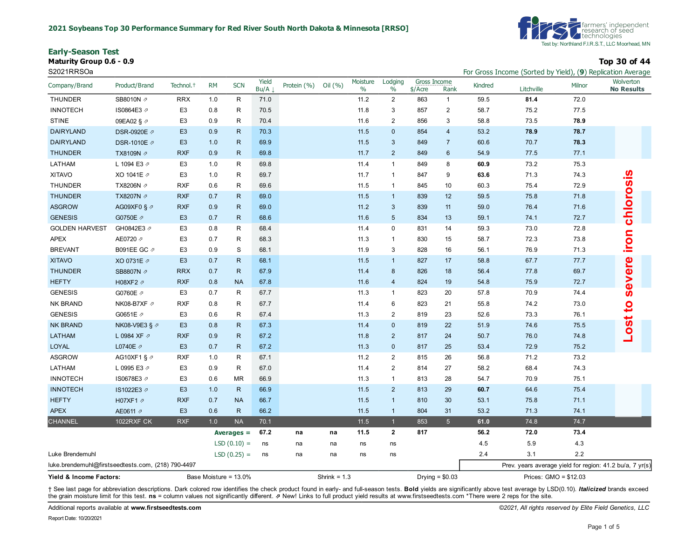**Early-Season Test**

**Maturity Group 0.6 - 0.9 Top 30 of 44**



| S2021RRSOa                                         |                         |                       |           |                       |               |             |                |                  |                 |                           |                  |         |                        |        | For Gross Income (Sorted by Yield), (9) Replication Average |
|----------------------------------------------------|-------------------------|-----------------------|-----------|-----------------------|---------------|-------------|----------------|------------------|-----------------|---------------------------|------------------|---------|------------------------|--------|-------------------------------------------------------------|
| Company/Brand                                      | Product/Brand           | Technol. <sup>+</sup> | <b>RM</b> | <b>SCN</b>            | Yield<br>Bu/A | Protein (%) | Oil (%)        | Moisture<br>$\%$ | Lodging<br>$\%$ | Gross Income<br>$$/$ Acre | Rank             | Kindred | Litchville             | Milnor | Wolverton<br><b>No Results</b>                              |
| <b>THUNDER</b>                                     | SB8010N 2               | <b>RRX</b>            | 1.0       | $\mathsf R$           | 71.0          |             |                | 11.2             | $\overline{2}$  | 863                       | $\mathbf{1}$     | 59.5    | 81.4                   | 72.0   |                                                             |
| <b>INNOTECH</b>                                    | IS0864E3 ₽              | E <sub>3</sub>        | 0.8       | R                     | 70.5          |             |                | 11.8             | 3               | 857                       | $\overline{2}$   | 58.7    | 75.2                   | 77.5   |                                                             |
| <b>STINE</b>                                       | 09EA02 § ク              | E <sub>3</sub>        | 0.9       | R                     | 70.4          |             |                | 11.6             | $\overline{2}$  | 856                       | 3                | 58.8    | 73.5                   | 78.9   |                                                             |
| <b>DAIRYLAND</b>                                   | DSR-0920E 2             | E <sub>3</sub>        | 0.9       | $\mathsf{R}$          | 70.3          |             |                | 11.5             | $\mathbf 0$     | 854                       | $\overline{4}$   | 53.2    | 78.9                   | 78.7   |                                                             |
| <b>DAIRYLAND</b>                                   | DSR-1010E 2             | E <sub>3</sub>        | 1.0       | $\mathsf{R}$          | 69.9          |             |                | 11.5             | 3               | 849                       | $\overline{7}$   | 60.6    | 70.7                   | 78.3   |                                                             |
| <b>THUNDER</b>                                     | TX8109N Ø               | <b>RXF</b>            | 0.9       | $\mathsf{R}$          | 69.8          |             |                | 11.7             | 2               | 849                       | $6\phantom{1}6$  | 54.9    | 77.5                   | 77.1   |                                                             |
| LATHAM                                             | L 1094 E3 2             | E <sub>3</sub>        | 1.0       | $\mathsf{R}$          | 69.8          |             |                | 11.4             | $\mathbf{1}$    | 849                       | 8                | 60.9    | 73.2                   | 75.3   |                                                             |
| <b>XITAVO</b>                                      | XO 1041E 2              | E <sub>3</sub>        | 1.0       | R                     | 69.7          |             |                | 11.7             | $\mathbf{1}$    | 847                       | 9                | 63.6    | 71.3                   | 74.3   |                                                             |
| THUNDER                                            | TX8206N 2               | <b>RXF</b>            | 0.6       | R                     | 69.6          |             |                | 11.5             | $\mathbf{1}$    | 845                       | 10               | 60.3    | 75.4                   | 72.9   |                                                             |
| <b>THUNDER</b>                                     | TX8207N /               | <b>RXF</b>            | 0.7       | $\mathsf{R}$          | 69.0          |             |                | 11.5             | $\mathbf{1}$    | 839                       | 12               | 59.5    | 75.8                   | 71.8   |                                                             |
| <b>ASGROW</b>                                      | AG09XF0 § $\varnothing$ | <b>RXF</b>            | 0.9       | $\mathsf{R}$          | 69.0          |             |                | 11.2             | $\mathbf{3}$    | 839                       | 11               | 59.0    | 76.4                   | 71.6   |                                                             |
| <b>GENESIS</b>                                     | G0750E 2                | E <sub>3</sub>        | 0.7       | $\mathsf{R}$          | 68.6          |             |                | 11.6             | 5               | 834                       | 13               | 59.1    | 74.1                   | 72.7   | iron chlorosis                                              |
| <b>GOLDEN HARVEST</b>                              | GH0842E3 2              | E <sub>3</sub>        | 0.8       | $\mathsf R$           | 68.4          |             |                | 11.4             | 0               | 831                       | 14               | 59.3    | 73.0                   | 72.8   |                                                             |
| <b>APEX</b>                                        | AE0720 2                | E <sub>3</sub>        | 0.7       | $\mathsf{R}$          | 68.3          |             |                | 11.3             | $\mathbf{1}$    | 830                       | 15               | 58.7    | 72.3                   | 73.8   |                                                             |
| <b>BREVANT</b>                                     | B091EE GC 2             | E <sub>3</sub>        | 0.9       | S                     | 68.1          |             |                | 11.9             | 3               | 828                       | 16               | 56.1    | 76.9                   | 71.3   |                                                             |
| <b>XITAVO</b>                                      | XO 0731E 2              | E <sub>3</sub>        | 0.7       | ${\sf R}$             | 68.1          |             |                | 11.5             | $\mathbf{1}$    | 827                       | 17               | 58.8    | 67.7                   | 77.7   | severe                                                      |
| <b>THUNDER</b>                                     | SB8807N 2               | <b>RRX</b>            | 0.7       | $\mathsf{R}$          | 67.9          |             |                | 11.4             | $\bf 8$         | 826                       | 18               | 56.4    | 77.8                   | 69.7   |                                                             |
| <b>HEFTY</b>                                       | H08XF2 2                | <b>RXF</b>            | 0.8       | <b>NA</b>             | 67.8          |             |                | 11.6             | $\overline{4}$  | 824                       | 19               | 54.8    | 75.9                   | 72.7   |                                                             |
| <b>GENESIS</b>                                     | G0760E 2                | E <sub>3</sub>        | 0.7       | $\mathsf R$           | 67.7          |             |                | 11.3             | $\mathbf{1}$    | 823                       | 20               | 57.8    | 70.9                   | 74.4   |                                                             |
| NK BRAND                                           | NK08-B7XF ク             | <b>RXF</b>            | 0.8       | $\mathsf{R}$          | 67.7          |             |                | 11.4             | 6               | 823                       | 21               | 55.8    | 74.2                   | 73.0   | $\overline{a}$                                              |
| <b>GENESIS</b>                                     | G0651E /                | E <sub>3</sub>        | 0.6       | R                     | 67.4          |             |                | 11.3             | $\overline{2}$  | 819                       | 23               | 52.6    | 73.3                   | 76.1   |                                                             |
| <b>NK BRAND</b>                                    | NK08-V9E3 § 2           | E <sub>3</sub>        | 0.8       | $\mathsf{R}$          | 67.3          |             |                | 11.4             | $\mathbf 0$     | 819                       | 22               | 51.9    | 74.6                   | 75.5   | <b>Lost</b>                                                 |
| <b>LATHAM</b>                                      | L 0984 XF 2             | <b>RXF</b>            | 0.9       | ${\sf R}$             | 67.2          |             |                | 11.8             | $\overline{2}$  | 817                       | 24               | 50.7    | 76.0                   | 74.8   |                                                             |
| <b>LOYAL</b>                                       | L0740E 2                | E <sub>3</sub>        | 0.7       | $\mathsf{R}$          | 67.2          |             |                | 11.3             | $\mathbf 0$     | 817                       | 25               | 53.4    | 72.9                   | 75.2   |                                                             |
| <b>ASGROW</b>                                      | AG10XF1 § ク             | <b>RXF</b>            | 1.0       | $\mathsf R$           | 67.1          |             |                | 11.2             | $\overline{2}$  | 815                       | 26               | 56.8    | 71.2                   | 73.2   |                                                             |
| LATHAM                                             | L 0995 E3 2             | E <sub>3</sub>        | 0.9       | $\mathsf R$           | 67.0          |             |                | 11.4             | $\overline{2}$  | 814                       | 27               | 58.2    | 68.4                   | 74.3   |                                                             |
| <b>INNOTECH</b>                                    | IS0678E3 ₽              | E <sub>3</sub>        | 0.6       | <b>MR</b>             | 66.9          |             |                | 11.3             | $\mathbf{1}$    | 813                       | 28               | 54.7    | 70.9                   | 75.1   |                                                             |
| <b>INNOTECH</b>                                    | IS1022E3 ₽              | E <sub>3</sub>        | 1.0       | ${\sf R}$             | 66.9          |             |                | 11.5             | $\overline{2}$  | 813                       | 29               | 60.7    | 64.6                   | 75.4   |                                                             |
| <b>HEFTY</b>                                       | H07XF1 2                | <b>RXF</b>            | 0.7       | <b>NA</b>             | 66.7          |             |                | 11.5             | $\mathbf{1}$    | 810                       | 30               | 53.1    | 75.8                   | 71.1   |                                                             |
| <b>APEX</b>                                        | AE0611 2                | E <sub>3</sub>        | 0.6       | $\mathsf{R}$          | 66.2          |             |                | 11.5             | $\mathbf{1}$    | 804                       | 31               | 53.2    | 71.3                   | 74.1   |                                                             |
| <b>CHANNEL</b>                                     | <b>1022RXF CK</b>       | <b>RXF</b>            | 1.0       | <b>NA</b>             | 70.1          |             |                | 11.5             | $\mathbf{1}$    | 853                       | $5\phantom{.}$   | 61.0    | 74.8                   | 74.7   |                                                             |
|                                                    |                         |                       |           | Averages $=$          | 67.2          | na          | na             | 11.5             | $\mathbf{2}$    | 817                       |                  | 56.2    | 72.0                   | 73.4   |                                                             |
|                                                    |                         |                       |           | $LSD(0.10) =$         | ns            | na          | na             | ns               | ns              |                           |                  | 4.5     | 5.9                    | 4.3    |                                                             |
| Luke Brendemuhl                                    |                         |                       |           | $LSD(0.25) =$         | ns            | na          | na             | ns               | ns              |                           |                  | 2.4     | 3.1                    | 2.2    |                                                             |
| luke.brendemuhl@firstseedtests.com, (218) 790-4497 |                         |                       |           |                       |               |             |                |                  |                 |                           |                  |         |                        |        | Prev. years average yield for region: 41.2 bu/a, 7 yr(s)    |
| Yield & Income Factors:                            |                         |                       |           | Base Moisture = 13.0% |               |             | Shrink = $1.3$ |                  |                 |                           | Drying = $$0.03$ |         | Prices: $GMO = $12.03$ |        |                                                             |

+ See last page for abbreviation descriptions. Dark colored row identifies the check product found in early- and full-season tests. Bold yields are significantly above test average by LSD(0.10). Italicized brands exceed the grain moisture limit for this test. **ns** = column values not significantly different. ⇗ New! Links to full product yield results at www.firstseedtests.com \*There were 2 reps for the site.

Additional reports available at **[www.firstseedtests.com](https://www.firstseedtests.com)** *©2021, All rights reserved by Elite Field Genetics, LLC*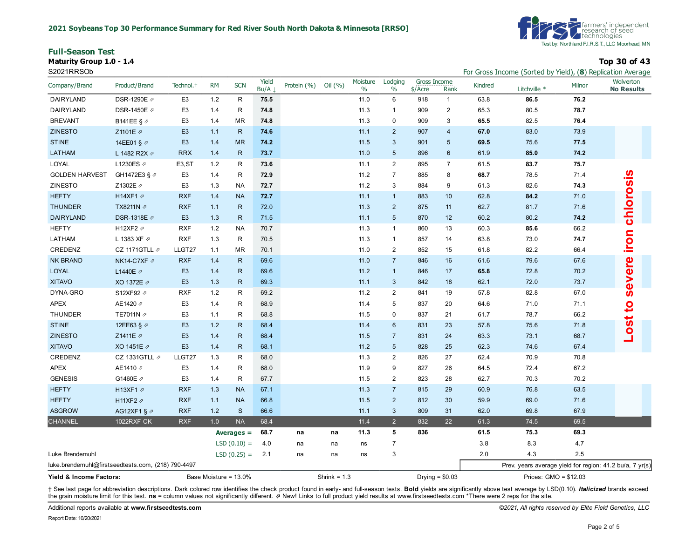**Full-Season Test Maturity Group 1.0 - 1.4 Top 30 of 43**

S2021RRSOb For Gross Income (Sorted by Yield), (**8**) Replication Average



|                                                    |                          |                       |           |               |               |                           |                |                  |                 |                           |                  |         | $\frac{1}{2}$ or the correct by $\frac{1}{2}$ . The contraction $\frac{1}{2}$ is the correct of $\frac{1}{2}$ |        |                                |
|----------------------------------------------------|--------------------------|-----------------------|-----------|---------------|---------------|---------------------------|----------------|------------------|-----------------|---------------------------|------------------|---------|---------------------------------------------------------------------------------------------------------------|--------|--------------------------------|
| Company/Brand                                      | Product/Brand            | Technol. <sup>+</sup> | <b>RM</b> | <b>SCN</b>    | Yield<br>Bu/A | Protein $(% )$ Oil $(% )$ |                | Moisture<br>$\%$ | Lodging<br>$\%$ | Gross Income<br>$$/$ Acre | Rank             | Kindred | Litchville *                                                                                                  | Milnor | Wolverton<br><b>No Results</b> |
| DAIRYLAND                                          | DSR-1290E ク              | E <sub>3</sub>        | 1.2       | $\mathsf{R}$  | 75.5          |                           |                | 11.0             | 6               | 918                       | $\mathbf{1}$     | 63.8    | 86.5                                                                                                          | 76.2   |                                |
| DAIRYLAND                                          | DSR-1450E ク              | E <sub>3</sub>        | 1.4       | $\mathsf{R}$  | 74.8          |                           |                | 11.3             | $\mathbf{1}$    | 909                       | $\overline{2}$   | 65.3    | 80.5                                                                                                          | 78.7   |                                |
| <b>BREVANT</b>                                     | B141EE § ₽               | E <sub>3</sub>        | 1.4       | <b>MR</b>     | 74.8          |                           |                | 11.3             | $\mathbf 0$     | 909                       | 3                | 65.5    | 82.5                                                                                                          | 76.4   |                                |
| <b>ZINESTO</b>                                     | Z1101E 2                 | E <sub>3</sub>        | 1.1       | ${\sf R}$     | 74.6          |                           |                | 11.1             | 2               | 907                       | $\overline{4}$   | 67.0    | 83.0                                                                                                          | 73.9   |                                |
| <b>STINE</b>                                       | 14EE01 § 2               | E <sub>3</sub>        | 1.4       | <b>MR</b>     | 74.2          |                           |                | 11.5             | 3               | 901                       | 5                | 69.5    | 75.6                                                                                                          | 77.5   |                                |
| <b>LATHAM</b>                                      | L 1482 R2X $\varnothing$ | <b>RRX</b>            | 1.4       | ${\sf R}$     | 73.7          |                           |                | 11.0             | $5\phantom{.0}$ | 896                       | $6\phantom{1}6$  | 61.9    | 85.0                                                                                                          | 74.2   |                                |
| LOYAL                                              | L1230ES ₽                | E <sub>3</sub> , ST   | 1.2       | R             | 73.6          |                           |                | 11.1             | $\overline{2}$  | 895                       | $\overline{7}$   | 61.5    | 83.7                                                                                                          | 75.7   |                                |
| <b>GOLDEN HARVEST</b>                              | GH1472E3 § 2             | E <sub>3</sub>        | 1.4       | R             | 72.9          |                           |                | 11.2             | $\overline{7}$  | 885                       | 8                | 68.7    | 78.5                                                                                                          | 71.4   |                                |
| <b>ZINESTO</b>                                     | Z1302E 2                 | E <sub>3</sub>        | 1.3       | <b>NA</b>     | 72.7          |                           |                | 11.2             | 3               | 884                       | 9                | 61.3    | 82.6                                                                                                          | 74.3   |                                |
| <b>HEFTY</b>                                       | H14XF1 2                 | <b>RXF</b>            | 1.4       | <b>NA</b>     | 72.7          |                           |                | 11.1             | $\mathbf{1}$    | 883                       | 10               | 62.8    | 84.2                                                                                                          | 71.0   |                                |
| <b>THUNDER</b>                                     | TX8211N 2                | <b>RXF</b>            | 1.1       | ${\sf R}$     | 72.0          |                           |                | 11.3             | $\overline{2}$  | 875                       | 11               | 62.7    | 81.7                                                                                                          | 71.6   |                                |
| <b>DAIRYLAND</b>                                   | DSR-1318E Ø              | E <sub>3</sub>        | 1.3       | ${\sf R}$     | 71.5          |                           |                | 11.1             | $5\phantom{.0}$ | 870                       | 12               | 60.2    | 80.2                                                                                                          | 74.2   | chlorosis                      |
| <b>HEFTY</b>                                       | H12XF2 2                 | <b>RXF</b>            | 1.2       | <b>NA</b>     | 70.7          |                           |                | 11.3             | $\mathbf{1}$    | 860                       | 13               | 60.3    | 85.6                                                                                                          | 66.2   |                                |
| LATHAM                                             | L 1383 XF 2              | <b>RXF</b>            | 1.3       | $\mathsf{R}$  | 70.5          |                           |                | 11.3             | $\mathbf{1}$    | 857                       | 14               | 63.8    | 73.0                                                                                                          | 74.7   | iron                           |
| CREDENZ                                            | CZ 1171GTLL $\not$       | LLGT27                | 1.1       | <b>MR</b>     | 70.1          |                           |                | 11.0             | $\overline{2}$  | 852                       | 15               | 61.8    | 82.2                                                                                                          | 66.4   |                                |
| <b>NK BRAND</b>                                    | NK14-C7XF Ø              | <b>RXF</b>            | 1.4       | $\mathsf{R}$  | 69.6          |                           |                | 11.0             | $\overline{7}$  | 846                       | 16               | 61.6    | 79.6                                                                                                          | 67.6   |                                |
| LOYAL                                              | L1440E 2                 | E <sub>3</sub>        | 1.4       | ${\sf R}$     | 69.6          |                           |                | 11.2             | $\mathbf{1}$    | 846                       | 17               | 65.8    | 72.8                                                                                                          | 70.2   |                                |
| <b>XITAVO</b>                                      | XO 1372E 2               | E <sub>3</sub>        | 1.3       | ${\sf R}$     | 69.3          |                           |                | 11.1             | $\mathbf{3}$    | 842                       | 18               | 62.1    | 72.0                                                                                                          | 73.7   | severe                         |
| DYNA-GRO                                           | S12XF92 2                | <b>RXF</b>            | 1.2       | R             | 69.2          |                           |                | 11.2             | $\overline{2}$  | 841                       | 19               | 57.8    | 82.8                                                                                                          | 67.0   |                                |
| <b>APEX</b>                                        | AE1420 2                 | E <sub>3</sub>        | 1.4       | R             | 68.9          |                           |                | 11.4             | 5               | 837                       | 20               | 64.6    | 71.0                                                                                                          | 71.1   | <u>o</u>                       |
| <b>THUNDER</b>                                     | TE7011N 2                | E <sub>3</sub>        | 1.1       | R             | 68.8          |                           |                | 11.5             | 0               | 837                       | 21               | 61.7    | 78.7                                                                                                          | 66.2   |                                |
| <b>STINE</b>                                       | 12EE63 § 2               | E <sub>3</sub>        | 1.2       | $\mathsf{R}$  | 68.4          |                           |                | 11.4             | 6               | 831                       | 23               | 57.8    | 75.6                                                                                                          | 71.8   | $-0s$ t                        |
| <b>ZINESTO</b>                                     | Z1411E 2                 | E <sub>3</sub>        | 1.4       | $\mathsf{R}$  | 68.4          |                           |                | 11.5             | $\overline{7}$  | 831                       | 24               | 63.3    | 73.1                                                                                                          | 68.7   |                                |
| <b>XITAVO</b>                                      | XO 1451E 2               | E <sub>3</sub>        | $1.4$     | $\mathsf{R}$  | 68.1          |                           |                | 11.2             | $5\phantom{1}$  | 828                       | 25               | 62.3    | 74.6                                                                                                          | 67.4   |                                |
| CREDENZ                                            | CZ 1331GTLL $\not$       | LLGT27                | 1.3       | R             | 68.0          |                           |                | 11.3             | $\overline{2}$  | 826                       | 27               | 62.4    | 70.9                                                                                                          | 70.8   |                                |
| <b>APEX</b>                                        | AE1410 2                 | E <sub>3</sub>        | 1.4       | R             | 68.0          |                           |                | 11.9             | 9               | 827                       | 26               | 64.5    | 72.4                                                                                                          | 67.2   |                                |
| <b>GENESIS</b>                                     | G1460E 2                 | E <sub>3</sub>        | 1.4       | R             | 67.7          |                           |                | 11.5             | $\overline{2}$  | 823                       | 28               | 62.7    | 70.3                                                                                                          | 70.2   |                                |
| <b>HEFTY</b>                                       | H13XF1 2                 | <b>RXF</b>            | 1.3       | <b>NA</b>     | 67.1          |                           |                | 11.3             | $\overline{7}$  | 815                       | 29               | 60.9    | 76.8                                                                                                          | 63.5   |                                |
| <b>HEFTY</b>                                       | H11XF2 $\not$            | <b>RXF</b>            | 1.1       | <b>NA</b>     | 66.8          |                           |                | 11.5             | $\overline{2}$  | 812                       | 30               | 59.9    | 69.0                                                                                                          | 71.6   |                                |
| <b>ASGROW</b>                                      | AG12XF1 § 2              | <b>RXF</b>            | 1.2       | $\mathbf{s}$  | 66.6          |                           |                | 11.1             | $\mathbf{3}$    | 809                       | 31               | 62.0    | 69.8                                                                                                          | 67.9   |                                |
| <b>CHANNEL</b>                                     | <b>1022RXF CK</b>        | <b>RXF</b>            | 1.0       | <b>NA</b>     | 68.4          |                           |                | 11.4             | $\overline{2}$  | 832                       | 22               | 61.3    | 74.5                                                                                                          | 69.5   |                                |
|                                                    |                          |                       |           | Averages $=$  | 68.7          | na                        | na             | 11.3             | 5               | 836                       |                  | 61.5    | 75.3                                                                                                          | 69.3   |                                |
|                                                    |                          |                       |           | $LSD(0.10) =$ | 4.0           | na                        | na             | ns               | $\overline{7}$  |                           |                  | 3.8     | 8.3                                                                                                           | 4.7    |                                |
| Luke Brendemuhl                                    |                          |                       |           | $LSD(0.25) =$ | 2.1           | na                        | na             | ns               | 3               |                           |                  | 2.0     | 4.3                                                                                                           | 2.5    |                                |
| luke.brendemuhl@firstseedtests.com, (218) 790-4497 |                          |                       |           |               |               |                           |                |                  |                 |                           |                  |         | Prev. years average yield for region: 41.2 bu/a, 7 yr(s)                                                      |        |                                |
| Base Moisture = 13.0%<br>Yield & Income Factors:   |                          |                       |           |               |               |                           | Shrink = $1.3$ |                  |                 |                           | Drying $= $0.03$ |         | Prices: $GMO = $12.03$                                                                                        |        |                                |

+ See last page for abbreviation descriptions. Dark colored row identifies the check product found in early- and full-season tests. Bold yields are significantly above test average by LSD(0.10). Italicized brands exceed the grain moisture limit for this test. **ns** = column values not significantly different. ⇗ New! Links to full product yield results at www.firstseedtests.com \*There were 2 reps for the site.

Additional reports available at **[www.firstseedtests.com](https://www.firstseedtests.com)** *©2021, All rights reserved by Elite Field Genetics, LLC* 

Report Date: 10/20/2021

Page 2 of 5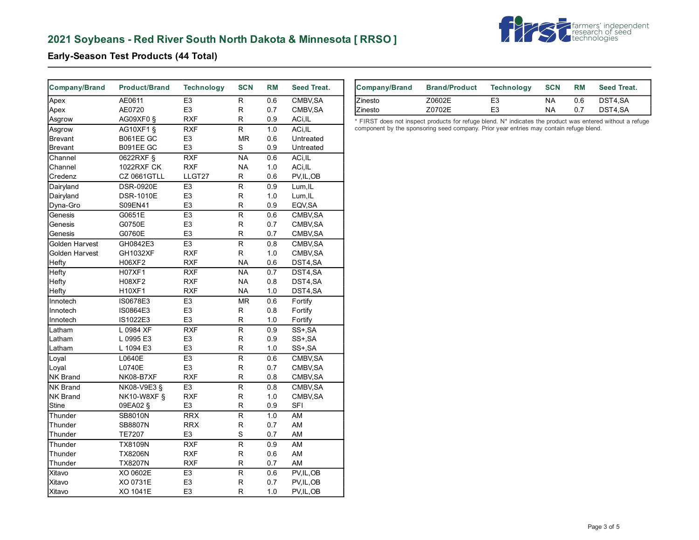# **2021 Soybeans - Red River South North Dakota & Minnesota [ RRSO ]**



### **Early-Season Test Products (44 Total)**

| <b>Company/Brand</b> | <b>Product/Brand</b> | <b>Technology</b> | <b>SCN</b>              | <b>RM</b> | Seed Treat.  | <b>Company/Brand</b> | <b>Brand/Product</b>                                                                                      | <b>Technology</b> | <b>SCN</b> | <b>RM</b> | Seed Treat. |
|----------------------|----------------------|-------------------|-------------------------|-----------|--------------|----------------------|-----------------------------------------------------------------------------------------------------------|-------------------|------------|-----------|-------------|
| Apex                 | AE0611               | E <sub>3</sub>    | R                       | 0.6       | CMBV, SA     | Zinesto              | Z0602E                                                                                                    | E <sub>3</sub>    | <b>NA</b>  | 0.6       | DST4,SA     |
| Apex                 | AE0720               | E <sub>3</sub>    | R                       | 0.7       | CMBV, SA     | Zinesto              | Z0702E                                                                                                    | E <sub>3</sub>    | <b>NA</b>  | 0.7       | DST4,SA     |
| Asgrow               | AG09XF0 §            | <b>RXF</b>        | R                       | 0.9       | ACi, IL      |                      | * FIRST does not inspect products for refuge blend. N* indicates the product was entered without a refuge |                   |            |           |             |
| Asgrow               | AG10XF1 §            | RXF               | R                       | 1.0       | ACi, IL      |                      | component by the sponsoring seed company. Prior year entries may contain refuge blend.                    |                   |            |           |             |
| Brevant              | B061EE GC            | E <sub>3</sub>    | MR                      | 0.6       | Untreated    |                      |                                                                                                           |                   |            |           |             |
| Brevant              | B091EE GC            | E <sub>3</sub>    | S                       | 0.9       | Untreated    |                      |                                                                                                           |                   |            |           |             |
| Channel              | 0622RXF §            | <b>RXF</b>        | <b>NA</b>               | 0.6       | ACi, IL      |                      |                                                                                                           |                   |            |           |             |
| Channel              | 1022RXF CK           | <b>RXF</b>        | <b>NA</b>               | 1.0       | ACi, IL      |                      |                                                                                                           |                   |            |           |             |
| Credenz              | CZ 0661GTLL          | LLGT27            | R                       | 0.6       | PV, IL, OB   |                      |                                                                                                           |                   |            |           |             |
| Dairyland            | <b>DSR-0920E</b>     | E3                | $\overline{R}$          | 0.9       | Lum, IL      |                      |                                                                                                           |                   |            |           |             |
| Dairyland            | <b>DSR-1010E</b>     | E <sub>3</sub>    | R                       | 1.0       | Lum, IL      |                      |                                                                                                           |                   |            |           |             |
| Dyna-Gro             | S09EN41              | E <sub>3</sub>    | R                       | 0.9       | EQV, SA      |                      |                                                                                                           |                   |            |           |             |
| Genesis              | G0651E               | E <sub>3</sub>    | $\overline{\mathsf{R}}$ | 0.6       | CMBV, SA     |                      |                                                                                                           |                   |            |           |             |
| Genesis              | G0750E               | E <sub>3</sub>    | R                       | 0.7       | CMBV, SA     |                      |                                                                                                           |                   |            |           |             |
| Genesis              | G0760E               | E <sub>3</sub>    | R                       | 0.7       | CMBV, SA     |                      |                                                                                                           |                   |            |           |             |
| Golden Harvest       | GH0842E3             | E3                | R                       | 0.8       | CMBV, SA     |                      |                                                                                                           |                   |            |           |             |
| Golden Harvest       | GH1032XF             | <b>RXF</b>        | R                       | 1.0       | CMBV, SA     |                      |                                                                                                           |                   |            |           |             |
| Hefty                | H06XF2               | <b>RXF</b>        | <b>NA</b>               | 0.6       | DST4,SA      |                      |                                                                                                           |                   |            |           |             |
| Hefty                | <b>H07XF1</b>        | <b>RXF</b>        | <b>NA</b>               | 0.7       | DST4,SA      |                      |                                                                                                           |                   |            |           |             |
| Hefty                | H08XF2               | <b>RXF</b>        | <b>NA</b>               | 0.8       | DST4,SA      |                      |                                                                                                           |                   |            |           |             |
| Hefty                | <b>H10XF1</b>        | <b>RXF</b>        | <b>NA</b>               | 1.0       | DST4,SA      |                      |                                                                                                           |                   |            |           |             |
| Innotech             | IS0678E3             | E <sub>3</sub>    | <b>MR</b>               | 0.6       | Fortify      |                      |                                                                                                           |                   |            |           |             |
| Innotech             | IS0864E3             | E <sub>3</sub>    | R                       | 0.8       | Fortify      |                      |                                                                                                           |                   |            |           |             |
| Innotech             | IS1022E3             | E <sub>3</sub>    | R                       | 1.0       | Fortify      |                      |                                                                                                           |                   |            |           |             |
| Latham               | L 0984 XF            | RXF               | $\overline{\mathsf{R}}$ | 0.9       | $SS+$ , $SA$ |                      |                                                                                                           |                   |            |           |             |
| Latham               | L 0995 E3            | E <sub>3</sub>    | R                       | 0.9       | SS+, SA      |                      |                                                                                                           |                   |            |           |             |
| Latham               | L 1094 E3            | E <sub>3</sub>    | R                       | 1.0       | SS+, SA      |                      |                                                                                                           |                   |            |           |             |
| Loyal                | L0640E               | E <sub>3</sub>    | R                       | 0.6       | CMBV, SA     |                      |                                                                                                           |                   |            |           |             |
| Loyal                | L0740E               | E <sub>3</sub>    | R                       | 0.7       | CMBV, SA     |                      |                                                                                                           |                   |            |           |             |
| <b>NK Brand</b>      | NK08-B7XF            | <b>RXF</b>        | R                       | 0.8       | CMBV, SA     |                      |                                                                                                           |                   |            |           |             |
| <b>NK Brand</b>      | NK08-V9E3 §          | E <sub>3</sub>    | $\overline{\mathsf{R}}$ | 0.8       | CMBV, SA     |                      |                                                                                                           |                   |            |           |             |
| <b>NK Brand</b>      | <b>NK10-W8XF §</b>   | <b>RXF</b>        | R                       | 1.0       | CMBV, SA     |                      |                                                                                                           |                   |            |           |             |
| Stine                | 09EA02 §             | E <sub>3</sub>    | R                       | 0.9       | <b>SFI</b>   |                      |                                                                                                           |                   |            |           |             |
| Thunder              | <b>SB8010N</b>       | <b>RRX</b>        | R                       | 1.0       | AM           |                      |                                                                                                           |                   |            |           |             |
| Thunder              | <b>SB8807N</b>       | <b>RRX</b>        | R                       | 0.7       | AM           |                      |                                                                                                           |                   |            |           |             |
| Thunder              | <b>TE7207</b>        | E <sub>3</sub>    | S                       | 0.7       | AM           |                      |                                                                                                           |                   |            |           |             |
| Thunder              | <b>TX8109N</b>       | <b>RXF</b>        | R                       | 0.9       | AM           |                      |                                                                                                           |                   |            |           |             |
| Thunder              | <b>TX8206N</b>       | <b>RXF</b>        | R                       | 0.6       | AM           |                      |                                                                                                           |                   |            |           |             |
| Thunder              | <b>TX8207N</b>       | <b>RXF</b>        | R                       | 0.7       | AM           |                      |                                                                                                           |                   |            |           |             |
| Xitavo               | XO 0602E             | E <sub>3</sub>    | R                       | 0.6       | PV, IL, OB   |                      |                                                                                                           |                   |            |           |             |
| Xitavo               | XO 0731E             | E <sub>3</sub>    | R                       | 0.7       | PV, IL, OB   |                      |                                                                                                           |                   |            |           |             |
| Xitavo               | XO 1041E             | E <sub>3</sub>    | R.                      | 1.0       | PV,IL,OB     |                      |                                                                                                           |                   |            |           |             |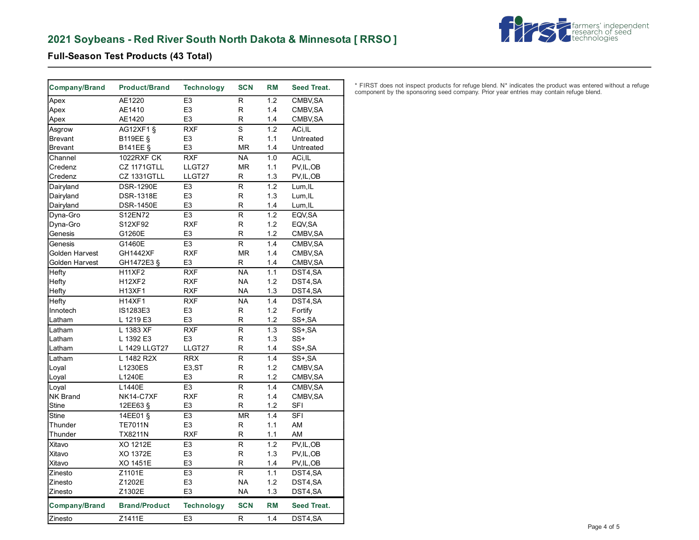## **2021 Soybeans - Red River South North Dakota & Minnesota [ RRSO ]**



### **Full-Season Test Products (43 Total)**

| <b>Company/Brand</b> | <b>Product/Brand</b> | <b>Technology</b>                | <b>SCN</b>               | <b>RM</b> | Seed Treat.              |
|----------------------|----------------------|----------------------------------|--------------------------|-----------|--------------------------|
| Apex                 | AE1220               | E <sub>3</sub>                   | R                        | 1.2       | CMBV, SA                 |
| Apex                 | AE1410               | E <sub>3</sub>                   | R                        | 1.4       | CMBV, SA                 |
| Apex                 | AE1420               | E <sub>3</sub>                   | R                        | 1.4       | CMBV, SA                 |
| Asgrow               | AG12XF1 §            | <b>RXF</b>                       | $\overline{s}$           | 1.2       | ACi,IL                   |
| <b>Brevant</b>       | <b>B119EE §</b>      | E3                               | R                        | 1.1       | Untreated                |
| <b>Brevant</b>       | <b>B141EE §</b>      | E <sub>3</sub>                   | <b>MR</b>                | 1.4       | Untreated                |
| Channel              | <b>1022RXF CK</b>    | <b>RXF</b>                       | <b>NA</b>                | 1.0       | ACi, IL                  |
| Credenz              | CZ 1171GTLL          | LLGT27                           | <b>MR</b>                | 1.1       | PV, IL, OB               |
| Credenz              | <b>CZ 1331GTLL</b>   | LLGT27                           | R                        | 1.3       | PV, IL, OB               |
| Dairyland            | <b>DSR-1290E</b>     | E <sub>3</sub>                   | R                        | 1.2       | Lum, IL                  |
| Dairyland            | <b>DSR-1318E</b>     | E <sub>3</sub>                   | R                        | 1.3       | Lum, IL                  |
| Dairyland            | <b>DSR-1450E</b>     | E3                               | R                        | 1.4       | Lum, IL                  |
| Dyna-Gro             | S12EN72              | E <sub>3</sub>                   | $\overline{\mathsf{R}}$  | 1.2       | EQV, SA                  |
| Dyna-Gro             | S12XF92              | <b>RXF</b>                       | R                        | 1.2       | EQV, SA                  |
| Genesis              | G1260E               | E <sub>3</sub>                   | R                        | 1.2       | CMBV, SA                 |
| Genesis              | G1460E               | E <sub>3</sub>                   | R                        | 1.4       | CMBV, SA                 |
| Golden Harvest       | <b>GH1442XF</b>      | <b>RXF</b>                       | <b>MR</b>                | 1.4       | CMBV, SA                 |
| Golden Harvest       | GH1472E3 §           | E <sub>3</sub>                   | R                        | 1.4       | CMBV, SA                 |
| Hefty                | <b>H11XF2</b>        | <b>RXF</b>                       | $\overline{\mathsf{NA}}$ | 1.1       | DST4,SA                  |
| Hefty                | <b>H12XF2</b>        | <b>RXF</b>                       | <b>NA</b>                | 1.2       | DST4,SA                  |
| Hefty                | <b>H13XF1</b>        | <b>RXF</b>                       | <b>NA</b>                | 1.3       | DST4,SA                  |
| Hefty                | <b>H14XF1</b>        | <b>RXF</b>                       | <b>NA</b>                | 1.4       | DST4,SA                  |
| Innotech             | IS1283E3             | E <sub>3</sub>                   | R                        | 1.2       | Fortify                  |
| Latham               | L 1219 E3            | E <sub>3</sub>                   | R                        | 1.2       | SS+,SA                   |
| Latham               | L 1383 XF            | <b>RXF</b>                       | R                        | 1.3       | SS+, SA                  |
| Latham               | L 1392 E3            | E <sub>3</sub>                   | $\mathsf{R}$             | 1.3       | SS+                      |
| Latham               | L 1429 LLGT27        | LLGT27                           | R                        | 1.4       | SS+, SA                  |
| Latham               | L 1482 R2X           | <b>RRX</b>                       | R                        | 1.4       | SS+, SA                  |
| Loyal                | L1230ES              | E <sub>3</sub> ,ST               | R                        | 1.2       | CMBV, SA                 |
| Loyal                | L1240E               | E3                               | R                        | 1.2       | CMBV, SA                 |
| Loyal                | L1440E               | E <sub>3</sub>                   | $\overline{\mathsf{R}}$  | 1.4       | CMBV, SA                 |
| <b>NK Brand</b>      | NK14-C7XF            | <b>RXF</b>                       | $\mathsf R$              | 1.4       | CMBV, SA                 |
| <b>Stine</b>         | 12EE63 §             | E <sub>3</sub>                   | R                        | 1.2       | <b>SFI</b>               |
| <b>Stine</b>         | 14EE01 §             | E <sub>3</sub>                   | <b>MR</b>                | 1.4       | <b>SFI</b>               |
| Thunder              | <b>TE7011N</b>       | E <sub>3</sub>                   | R                        | 1.1       | AM                       |
| Thunder              | <b>TX8211N</b>       | <b>RXF</b>                       | R                        | 1.1       | AM                       |
|                      | XO 1212E             |                                  | $\mathsf{R}$             | 1.2       |                          |
| Xitavo<br>Xitavo     | XO 1372E             | E <sub>3</sub><br>E <sub>3</sub> | R                        | 1.3       | PV, IL, OB<br>PV, IL, OB |
| Xitavo               | XO 1451E             | E <sub>3</sub>                   | R                        | 1.4       |                          |
|                      |                      |                                  | $\overline{R}$           |           | PV, IL, OB               |
| Zinesto              | Z1101E               | E <sub>3</sub>                   |                          | 1.1       | DST4,SA                  |
| Zinesto              | Z1202E               | E <sub>3</sub><br>E <sub>3</sub> | <b>NA</b>                | 1.2       | DST4,SA                  |
| Zinesto              | Z1302E               |                                  | <b>NA</b>                | 1.3       | DST4,SA                  |
| Company/Brand        | <b>Brand/Product</b> | <b>Technology</b>                | <b>SCN</b>               | <b>RM</b> | <b>Seed Treat.</b>       |
| Zinesto              | Z1411E               | E <sub>3</sub>                   | R                        | 1.4       | DST4,SA                  |

\* FIRST does not inspect products for refuge blend. N\* indicates the product was entered without a refuge component by the sponsoring seed company. Prior year entries may contain refuge blend.